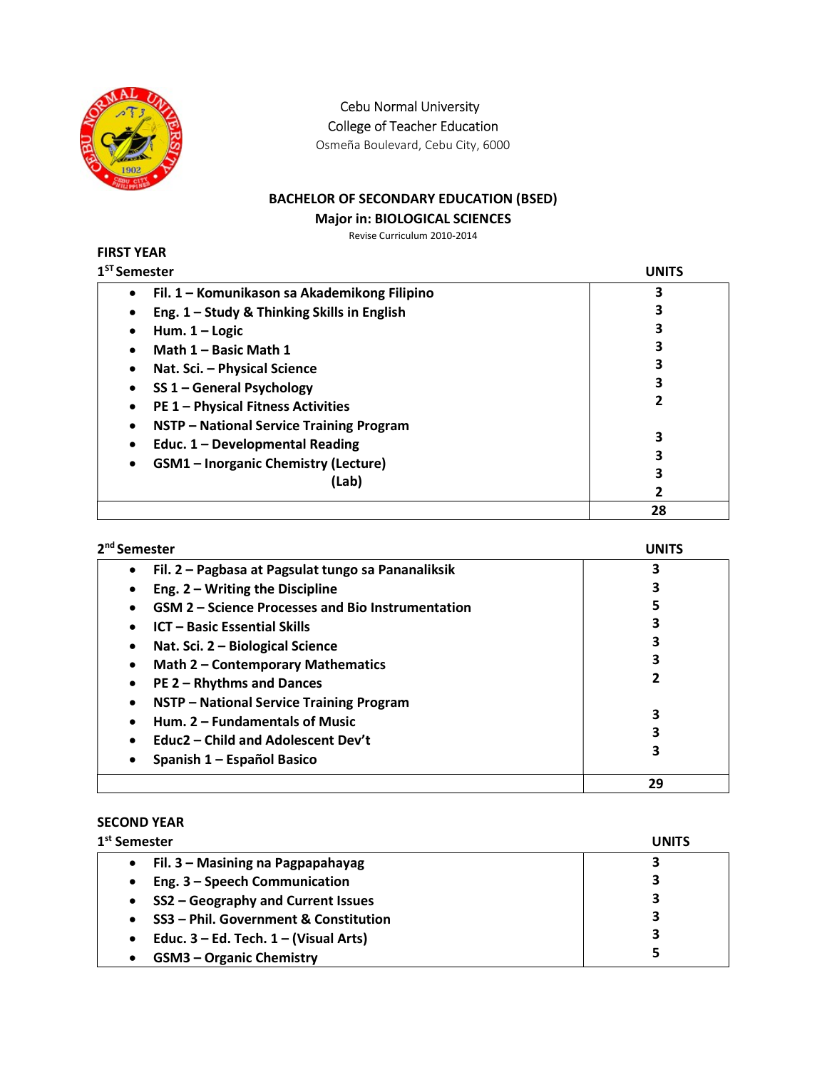

Cebu Normal University

College of Teacher Education

Osmeña Boulevard, Cebu City, 6000

# BACHELOR OF SECONDARY EDUCATION (BSED)

#### Major in: BIOLOGICAL SCIENCES

Revise Curriculum 2010-2014

#### FIRST YEAR  $1<sup>ST</sup> S<sub>0</sub>$

| <sup>ST</sup> Semester                            | UNITS |
|---------------------------------------------------|-------|
| Fil. 1 - Komunikason sa Akademikong Filipino<br>٠ | 3     |
| Eng. 1 - Study & Thinking Skills in English       |       |
| Hum. $1 -$ Logic                                  | 3     |
| Math 1 - Basic Math 1                             | 3     |
| Nat. Sci. - Physical Science                      |       |
| SS 1 - General Psychology                         | 3     |
| <b>PE 1 - Physical Fitness Activities</b>         | 2     |
| NSTP - National Service Training Program          |       |
| Educ. 1 - Developmental Reading                   | 3     |
| <b>GSM1</b> - Inorganic Chemistry (Lecture)       | 3     |
| (Lab)                                             | 3     |
|                                                   | 2     |
|                                                   | 28    |

| 2 <sup>nd</sup> Semester                                        | UNITS |
|-----------------------------------------------------------------|-------|
| Fil. 2 - Pagbasa at Pagsulat tungo sa Pananaliksik<br>$\bullet$ | 3     |
| Eng. $2 - W$ riting the Discipline<br>$\bullet$                 |       |
| <b>GSM 2 – Science Processes and Bio Instrumentation</b>        |       |
| <b>ICT - Basic Essential Skills</b><br>$\bullet$                |       |
| Nat. Sci. 2 - Biological Science<br>$\bullet$                   |       |
| <b>Math 2 - Contemporary Mathematics</b><br>$\bullet$           |       |
| PE 2 - Rhythms and Dances<br>$\bullet$                          |       |
| NSTP - National Service Training Program<br>$\bullet$           |       |
| Hum. 2 – Fundamentals of Music                                  |       |
| Educ2 – Child and Adolescent Dev't<br>$\bullet$                 |       |
| Spanish 1 - Español Basico                                      | 3     |
|                                                                 | 29    |

# SECOND YEAR

| 1 <sup>st</sup> Semester                                | <b>UNITS</b> |
|---------------------------------------------------------|--------------|
| Fil. 3 – Masining na Pagpapahayag<br>$\bullet$          |              |
| Eng. 3 - Speech Communication<br>$\bullet$              | 3            |
| SS2 - Geography and Current Issues<br>$\bullet$         | З            |
| SS3 - Phil. Government & Constitution<br>$\bullet$      | 3            |
| Educ. $3 - Ed$ . Tech. $1 - (Visual Arts)$<br>$\bullet$ | 3            |
| <b>GSM3 - Organic Chemistry</b><br>$\bullet$            |              |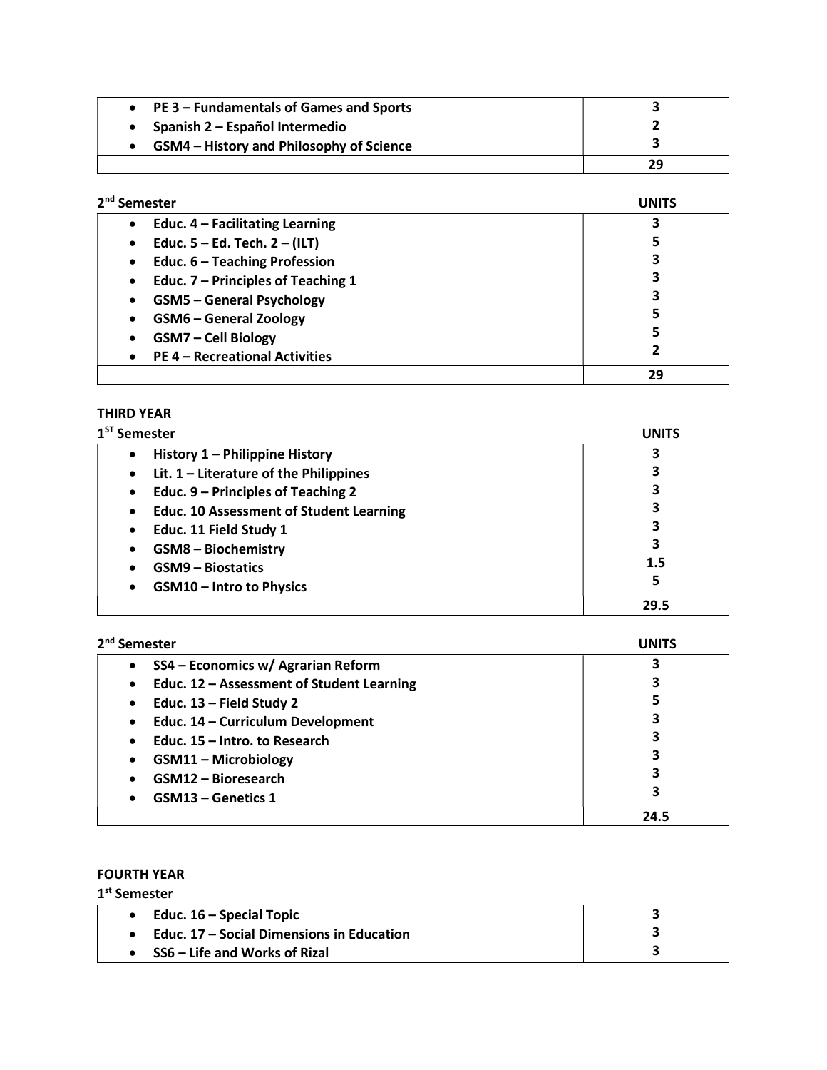| <b>PE 3 – Fundamentals of Games and Sports</b>  |    |
|-------------------------------------------------|----|
| Spanish 2 – Español Intermedio                  |    |
| <b>GSM4</b> – History and Philosophy of Science |    |
|                                                 | 29 |

| 2 <sup>nd</sup> Semester                | <b>UNITS</b> |
|-----------------------------------------|--------------|
| Educ. $4$ – Facilitating Learning       | 3            |
| Educ. 5 – Ed. Tech. 2 – (ILT)<br>٠      | 5            |
| Educ. 6 - Teaching Profession<br>٠      | 3            |
| Educ. 7 - Principles of Teaching 1<br>٠ | 3            |
| <b>GSM5 - General Psychology</b>        | 3            |
| <b>GSM6 - General Zoology</b>           | 5            |
| <b>GSM7 - Cell Biology</b>              | 5            |
| <b>PE 4 - Recreational Activities</b>   | 2            |
|                                         | 29           |

#### THIRD YEAR

| $1ST$ Semester                                              | UNITS |
|-------------------------------------------------------------|-------|
| History 1 – Philippine History<br>$\bullet$                 | 3     |
| Lit. $1$ – Literature of the Philippines<br>$\bullet$       | 3     |
| Educ. 9 – Principles of Teaching 2<br>$\bullet$             | 3     |
| <b>Educ. 10 Assessment of Student Learning</b><br>$\bullet$ | 3     |
| Educ. 11 Field Study 1<br>$\bullet$                         | 3     |
| <b>GSM8 - Biochemistry</b><br>$\bullet$                     | 3     |
| <b>GSM9 - Biostatics</b>                                    | 1.5   |
| <b>GSM10 - Intro to Physics</b><br>$\bullet$                | 5     |
|                                                             | 29.5  |

| 2 <sup>nd</sup> Semester |  |
|--------------------------|--|
|--------------------------|--|

| <sup>nd</sup> Semester                                 |      |
|--------------------------------------------------------|------|
| SS4 - Economics w/ Agrarian Reform                     |      |
| Educ. 12 - Assessment of Student Learning<br>$\bullet$ |      |
| Educ. $13$ – Field Study 2<br>$\bullet$                | 5    |
| Educ. 14 - Curriculum Development<br>$\bullet$         | 3    |
| Educ. 15 - Intro. to Research                          | 3    |
| <b>GSM11 - Microbiology</b>                            | 3    |
| <b>GSM12 - Bioresearch</b>                             | 3    |
| <b>GSM13 – Genetics 1</b><br>$\bullet$                 | 3    |
|                                                        | 24.5 |

# FOURTH YEAR

1 st Semester

| Educ. 16 – Special Topic                         |  |
|--------------------------------------------------|--|
| <b>Educ. 17 – Social Dimensions in Education</b> |  |
| • $SS6 - Life$ and Works of Rizal                |  |